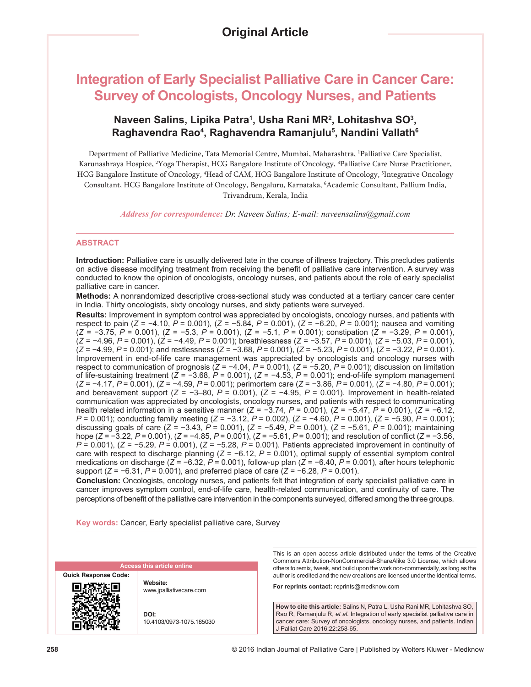# **Integration of Early Specialist Palliative Care in Cancer Care: Survey of Oncologists, Oncology Nurses, and Patients**

# **Naveen Salins, Lipika Patra1 , Usha Rani MR2 , Lohitashva SO3 , Raghavendra Rao4 , Raghavendra Ramanjulu5 , Nandini Vallath6**

Department of Palliative Medicine, Tata Memorial Centre, Mumbai, Maharashtra, 1 Palliative Care Specialist, Karunashraya Hospice, <sup>2</sup>Yoga Therapist, HCG Bangalore Institute of Oncology, <sup>3</sup>Palliative Care Nurse Practitioner, HCG Bangalore Institute of Oncology, <sup>4</sup>Head of CAM, HCG Bangalore Institute of Oncology, <sup>5</sup>Integrative Oncology Consultant, HCG Bangalore Institute of Oncology, Bengaluru, Karnataka, 6 Academic Consultant, Pallium India, Trivandrum, Kerala, India

*Address for correspondence: Dr. Naveen Salins; E‑mail: naveensalins@gmail.com*

#### **ABSTRACT**

**Introduction:** Palliative care is usually delivered late in the course of illness trajectory. This precludes patients on active disease modifying treatment from receiving the benefit of palliative care intervention. A survey was conducted to know the opinion of oncologists, oncology nurses, and patients about the role of early specialist palliative care in cancer.

**Methods:** A nonrandomized descriptive cross-sectional study was conducted at a tertiary cancer care center in India. Thirty oncologists, sixty oncology nurses, and sixty patients were surveyed.

**Results:** Improvement in symptom control was appreciated by oncologists, oncology nurses, and patients with respect to pain (*Z* = −4.10, *P* = 0.001), (*Z* = −5.84, *P* = 0.001), (*Z* = −6.20, *P* = 0.001); nausea and vomiting (*Z* = −3.75, *P* = 0.001), (*Z* = −5.3, *P* = 0.001), (*Z* = −5.1, *P* = 0.001); constipation (*Z* = −3.29, *P* = 0.001), (*Z* = −4.96, *P* = 0.001), (*Z* = −4.49, *P* = 0.001); breathlessness (*Z* = −3.57, *P* = 0.001), (*Z* = −5.03, *P* = 0.001), (*Z* = −4.99, *P* = 0.001); and restlessness (*Z* = −3.68, *P* = 0.001), (*Z* = −5.23, *P* = 0.001), (*Z* = −3.22, *P* = 0.001). Improvement in end-of-life care management was appreciated by oncologists and oncology nurses with respect to communication of prognosis (*Z* = −4.04, *P* = 0.001), (*Z* = −5.20, *P* = 0.001); discussion on limitation of life-sustaining treatment (*Z* = −3.68, *P* = 0.001), (*Z* = −4.53, *P* = 0.001); end-of-life symptom management (*Z* = −4.17, *P* = 0.001), (*Z* = −4.59, *P* = 0.001); perimortem care (*Z* = −3.86, *P* = 0.001), (*Z* = −4.80, *P* = 0.001); and bereavement support (*Z* = −3–80, *P* = 0.001), (*Z* = −4.95, *P* = 0.001). Improvement in health-related communication was appreciated by oncologists, oncology nurses, and patients with respect to communicating health related information in a sensitive manner (*Z* = −3.74, *P* = 0.001), (*Z* = −5.47, *P* = 0.001), (*Z* = −6.12, *P* = 0.001); conducting family meeting (*Z* = −3.12, *P* = 0.002), (*Z* = −4.60, *P* = 0.001), (*Z* = −5.90, *P* = 0.001); discussing goals of care (*Z* = −3.43, *P* = 0.001), (*Z* = −5.49, *P* = 0.001), (*Z* = −5.61, *P* = 0.001); maintaining hope (*Z* = −3.22, *P* = 0.001), (*Z* = −4.85, *P* = 0.001), (*Z* = −5.61, *P* = 0.001); and resolution of conflict (*Z* = −3.56, *P* = 0.001), (*Z* = −5.29, *P* = 0.001), (*Z* = −5.28, *P* = 0.001). Patients appreciated improvement in continuity of care with respect to discharge planning (*Z* = −6.12, *P* = 0.001), optimal supply of essential symptom control medications on discharge (*Z* = −6.32, *P* = 0.001), follow-up plan (*Z* = −6.40, *P* = 0.001), after hours telephonic support (*Z* = −6.31, *P* = 0.001), and preferred place of care (*Z* = −6.28, *P* = 0.001).

**Conclusion:** Oncologists, oncology nurses, and patients felt that integration of early specialist palliative care in cancer improves symptom control, end-of-life care, health-related communication, and continuity of care. The perceptions of benefit of the palliative care intervention in the components surveyed, differed among the three groups.

**Key words:** Cancer, Early specialist palliative care, Survey

|                             | <b>Access this article online</b>   |
|-----------------------------|-------------------------------------|
| <b>Quick Response Code:</b> | Website:<br>www.jpalliativecare.com |
|                             | DOI:<br>10.4103/0973-1075.185030    |

This is an open access article distributed under the terms of the Creative Commons Attribution-NonCommercial-ShareAlike 3.0 License, which allows others to remix, tweak, and build upon the work non-commercially, as long as the author is credited and the new creations are licensed under the identical terms.

**For reprints contact:** reprints@medknow.com

**How to cite this article:** Salins N, Patra L, Usha Rani MR, Lohitashva SO, Rao R, Ramanjulu R, *et al*. Integration of early specialist palliative care in cancer care: Survey of oncologists, oncology nurses, and patients. Indian J Palliat Care 2016;22:258-65.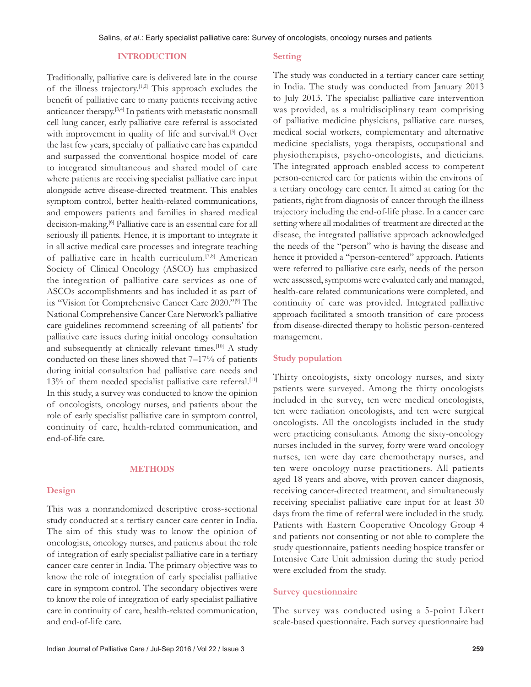#### **INTRODUCTION**

Traditionally, palliative care is delivered late in the course of the illness trajectory.[1,2] This approach excludes the benefit of palliative care to many patients receiving active anticancer therapy.[3,4] In patients with metastatic nonsmall cell lung cancer, early palliative care referral is associated with improvement in quality of life and survival.<sup>[5]</sup> Over the last few years, specialty of palliative care has expanded and surpassed the conventional hospice model of care to integrated simultaneous and shared model of care where patients are receiving specialist palliative care input alongside active disease-directed treatment. This enables symptom control, better health-related communications, and empowers patients and families in shared medical decision-making.<sup>[6]</sup> Palliative care is an essential care for all seriously ill patients. Hence, it is important to integrate it in all active medical care processes and integrate teaching of palliative care in health curriculum.[7,8] American Society of Clinical Oncology (ASCO) has emphasized the integration of palliative care services as one of ASCOs accomplishments and has included it as part of its "Vision for Comprehensive Cancer Care 2020."[9] The National Comprehensive Cancer Care Network's palliative care guidelines recommend screening of all patients' for palliative care issues during initial oncology consultation and subsequently at clinically relevant times.<sup>[10]</sup> A study conducted on these lines showed that 7–17% of patients during initial consultation had palliative care needs and 13% of them needed specialist palliative care referral.<sup>[11]</sup> In this study, a survey was conducted to know the opinion of oncologists, oncology nurses, and patients about the role of early specialist palliative care in symptom control, continuity of care, health-related communication, and end‑of‑life care.

#### **METHODS**

#### **Design**

This was a nonrandomized descriptive cross‑sectional study conducted at a tertiary cancer care center in India. The aim of this study was to know the opinion of oncologists, oncology nurses, and patients about the role of integration of early specialist palliative care in a tertiary cancer care center in India. The primary objective was to know the role of integration of early specialist palliative care in symptom control. The secondary objectives were to know the role of integration of early specialist palliative care in continuity of care, health-related communication, and end‑of‑life care.

#### **Setting**

The study was conducted in a tertiary cancer care setting in India. The study was conducted from January 2013 to July 2013. The specialist palliative care intervention was provided, as a multidisciplinary team comprising of palliative medicine physicians, palliative care nurses, medical social workers, complementary and alternative medicine specialists, yoga therapists, occupational and physiotherapists, psycho‑oncologists, and dieticians. The integrated approach enabled access to competent person‑centered care for patients within the environs of a tertiary oncology care center. It aimed at caring for the patients, right from diagnosis of cancer through the illness trajectory including the end‑of‑life phase. In a cancer care setting where all modalities of treatment are directed at the disease, the integrated palliative approach acknowledged the needs of the "person" who is having the disease and hence it provided a "person-centered" approach. Patients were referred to palliative care early, needs of the person were assessed, symptoms were evaluated early and managed, health-care related communications were completed, and continuity of care was provided. Integrated palliative approach facilitated a smooth transition of care process from disease-directed therapy to holistic person-centered management.

#### **Study population**

Thirty oncologists, sixty oncology nurses, and sixty patients were surveyed. Among the thirty oncologists included in the survey, ten were medical oncologists, ten were radiation oncologists, and ten were surgical oncologists. All the oncologists included in the study were practicing consultants. Among the sixty-oncology nurses included in the survey, forty were ward oncology nurses, ten were day care chemotherapy nurses, and ten were oncology nurse practitioners. All patients aged 18 years and above, with proven cancer diagnosis, receiving cancer-directed treatment, and simultaneously receiving specialist palliative care input for at least 30 days from the time of referral were included in the study. Patients with Eastern Cooperative Oncology Group 4 and patients not consenting or not able to complete the study questionnaire, patients needing hospice transfer or Intensive Care Unit admission during the study period were excluded from the study.

#### **Survey questionnaire**

The survey was conducted using a 5‑point Likert scale‑based questionnaire. Each survey questionnaire had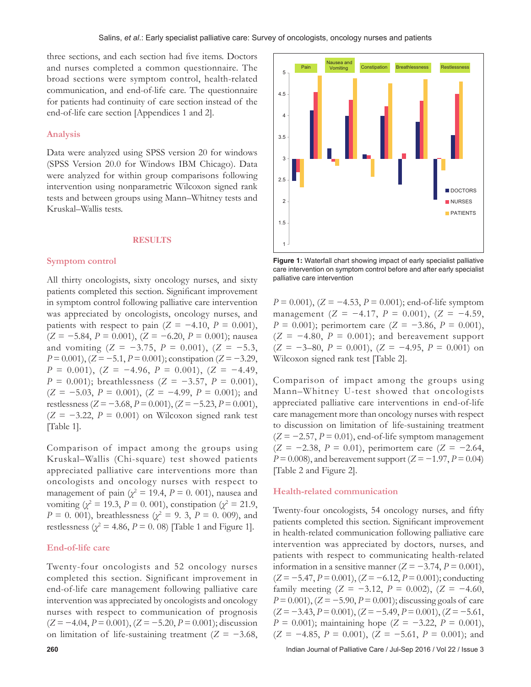three sections, and each section had five items. Doctors and nurses completed a common questionnaire. The broad sections were symptom control, health-related communication, and end-of-life care. The questionnaire for patients had continuity of care section instead of the end-of-life care section [Appendices 1 and 2].

#### **Analysis**

Data were analyzed using SPSS version 20 for windows (SPSS Version 20.0 for Windows IBM Chicago). Data were analyzed for within group comparisons following intervention using nonparametric Wilcoxon signed rank tests and between groups using Mann–Whitney tests and Kruskal–Wallis tests.

#### **RESULTS**

#### **Symptom control**

All thirty oncologists, sixty oncology nurses, and sixty patients completed this section. Significant improvement in symptom control following palliative care intervention was appreciated by oncologists, oncology nurses, and patients with respect to pain  $(Z = -4.10, P = 0.001)$ , (*Z* = −5.84, *P* = 0.001), (*Z* = −6.20, *P* = 0.001); nausea and vomiting (*Z* = −3.75, *P* = 0.001), (*Z* = −5.3, *P* = 0.001), (*Z* = −5.1, *P* = 0.001); constipation (*Z* = −3.29, *P* = 0.001), (*Z* = −4.96, *P* = 0.001), (*Z* = −4.49, *P* = 0.001); breathlessness (*Z* = −3.57, *P* = 0.001), (*Z* = −5.03, *P* = 0.001), (*Z* = −4.99, *P* = 0.001); and restlessness (*Z* = −3.68, *P* = 0.001), (*Z* = −5.23, *P* = 0.001),  $(Z = -3.22, P = 0.001)$  on Wilcoxon signed rank test [Table 1].

Comparison of impact among the groups using Kruskal–Wallis (Chi‑square) test showed patients appreciated palliative care interventions more than oncologists and oncology nurses with respect to management of pain  $(\chi^2 = 19.4, P = 0.001)$ , nausea and vomiting ( $\chi^2 = 19.3$ ,  $P = 0.001$ ), constipation ( $\chi^2 = 21.9$ , *P* = 0. 001), breathlessness ( $\chi^2$  = 9. 3, *P* = 0. 009), and restlessness  $(\chi^2 = 4.86, P = 0.08)$  [Table 1 and Figure 1].

#### **End‑of‑life care**

Twenty‑four oncologists and 52 oncology nurses completed this section. Significant improvement in end‑of‑life care management following palliative care intervention was appreciated by oncologists and oncology nurses with respect to communication of prognosis (*Z* = −4.04, *P* = 0.001), (*Z* = −5.20, *P* = 0.001); discussion on limitation of life‑sustaining treatment (*Z* = −3.68,



**Figure 1:** Waterfall chart showing impact of early specialist palliative care intervention on symptom control before and after early specialist palliative care intervention

*P* = 0.001), (*Z* = −4.53, *P* = 0.001); end-of-life symptom management (*Z* = −4.17, *P* = 0.001), (*Z* = −4.59, *P* = 0.001); perimortem care (*Z* = −3.86, *P* = 0.001),  $(Z = -4.80, P = 0.001)$ ; and bereavement support (*Z* = −3–80, *P* = 0.001), (*Z* = −4.95, *P* = 0.001) on Wilcoxon signed rank test [Table 2].

Comparison of impact among the groups using Mann–Whitney U-test showed that oncologists appreciated palliative care interventions in end-of-life care management more than oncology nurses with respect to discussion on limitation of life-sustaining treatment  $(Z = -2.57, P = 0.01)$ , end-of-life symptom management (*Z* = −2.38, *P* = 0.01), perimortem care (*Z* = −2.64, *P* = 0.008), and bereavement support (*Z* = −1.97, *P* = 0.04) [Table 2 and Figure 2].

#### **Health‑related communication**

Twenty-four oncologists, 54 oncology nurses, and fifty patients completed this section. Significant improvement in health-related communication following palliative care intervention was appreciated by doctors, nurses, and patients with respect to communicating health-related information in a sensitive manner  $(Z = -3.74, P = 0.001)$ , (*Z* = −5.47, *P* = 0.001), (*Z* = −6.12, *P* = 0.001); conducting family meeting  $(Z = -3.12, P = 0.002)$ ,  $(Z = -4.60,$ *P* = 0.001), (*Z* = −5.90, *P* = 0.001); discussing goals of care (*Z* = −3.43, *P* = 0.001), (*Z* = −5.49, *P* = 0.001), (*Z* = −5.61, *P* = 0.001); maintaining hope (*Z* = −3.22, *P* = 0.001),  $(Z = -4.85, P = 0.001), (Z = -5.61, P = 0.001);$  and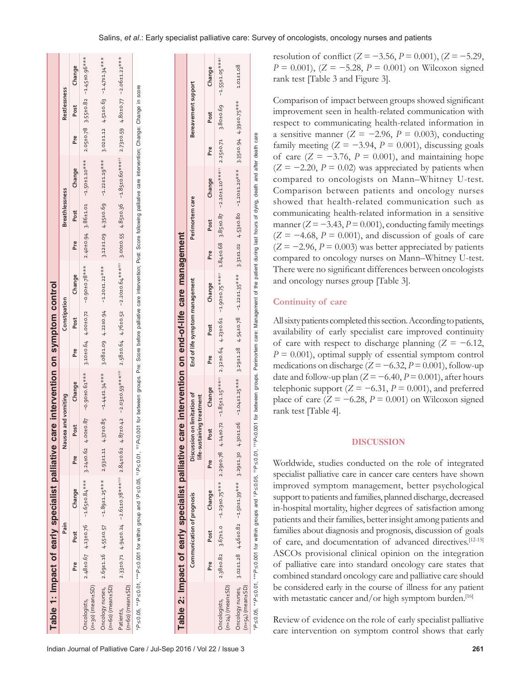| Table 1: Impact of early specialist palliative                                                                                                                                                                       |     |      |                                                                                                                                                               |                 |                                                          | care intervention on symptom control |     |                                |                                                                                                                                       |     |                       |                                         |     |                     |                                                     |
|----------------------------------------------------------------------------------------------------------------------------------------------------------------------------------------------------------------------|-----|------|---------------------------------------------------------------------------------------------------------------------------------------------------------------|-----------------|----------------------------------------------------------|--------------------------------------|-----|--------------------------------|---------------------------------------------------------------------------------------------------------------------------------------|-----|-----------------------|-----------------------------------------|-----|---------------------|-----------------------------------------------------|
|                                                                                                                                                                                                                      |     | Pain |                                                                                                                                                               |                 | Nausea and vomiting                                      |                                      |     | Constipation                   |                                                                                                                                       |     | <b>Breathlessness</b> |                                         |     | Restlessness        |                                                     |
|                                                                                                                                                                                                                      | Pre | Post | Change                                                                                                                                                        | Pre             | Post                                                     | Change                               | Pre | Post                           | Change                                                                                                                                | Pre | Post                  | Change                                  | Pre | Post                | Change                                              |
| $(n=30)$ (mean $\pm$ SD)<br>Oncologists,                                                                                                                                                                             |     |      | $2.48\pm0.67$ 4.13±0.76 -1.65±0.84***                                                                                                                         | $3.24 \pm 0.62$ | $4.00 \pm 0.87$                                          | $-0.90 \pm 0.61$ ***                 |     |                                | $3.10\pm0.64$ 4.00 $\pm0.72$ -0.90 $\pm0.78**$                                                                                        |     | 2.40±0.94 3.86±1.01   | $-1.50 \pm 1.10 \times \times$          |     |                     | $2.05 \pm 0.78$ 3.55 $\pm$ 0.82 -1.45 $\pm$ 0.96*** |
| Oncology nurses,<br>$(n=60)$ (mean $\pm$ SD)                                                                                                                                                                         |     |      | $2.69 \pm 1.16$ 4.55±0.57 -1.89±1.25*** 2.93±1.11                                                                                                             |                 |                                                          |                                      |     |                                | 4.37±0.85 -1.44±1.34*** 3.08±1.09 4.22±0.94 -1.20±1.22***                                                                             |     |                       | $3.12 \pm 1.09$ 4.35±0.69 -1.22±1.19*** |     |                     | $3.02\pm1.12$ 4.51±0.63 -1.47±1.34***               |
| $(n=60)$ (mean $\pm$ SD)<br>Patients,                                                                                                                                                                                |     |      | $2.33\pm0.71$ 4.94 $\pm0.24$ -2.61 $\pm0.78**$ ***** 2.84 $\pm0.62$                                                                                           |                 |                                                          |                                      |     |                                | 4.87±0.42 -2.03±0.59****** 2.58±0.64 4.76±0.52 -2.20±0.64***** 3.00±0.55 4.85±0.36 -1.85±0.60****** 2.73±0.59 4.80±0.77 -2.06±1.22*** |     |                       |                                         |     |                     |                                                     |
| *P≤0.05, **P≤0.001 for within group and tP≤0.05, ttP<0.05, ttP<0.001 for between groups. Pte: Score before palliative care intervention; Post: Score following palliative care intervention; change: Change in score |     |      |                                                                                                                                                               |                 |                                                          |                                      |     |                                |                                                                                                                                       |     |                       |                                         |     |                     |                                                     |
| Table 2: Impact of early specialist palliative                                                                                                                                                                       |     |      |                                                                                                                                                               |                 |                                                          |                                      |     |                                | care intervention on end-of-life care management                                                                                      |     |                       |                                         |     |                     |                                                     |
|                                                                                                                                                                                                                      |     |      | Communication of prognosis                                                                                                                                    |                 | Discussion on limitation of<br>life-sustaining treatment |                                      |     | End of life symptom management |                                                                                                                                       |     | Perimortem care       |                                         |     | Bereavement support |                                                     |
|                                                                                                                                                                                                                      | Pre | Post | Change                                                                                                                                                        | Pre             | Post                                                     | Change                               | Pre | Post                           | Change                                                                                                                                | Pre | Post                  | Change                                  | Pre | Post                | Change                                              |
| $(n=24)$ (mean $\pm$ SD)<br>Oncologists,                                                                                                                                                                             |     |      | 2.38±0.82 3.67±1.0 -1.29±0.75*** 2.29±0.78 4.14±0.72 -1.85±1.15***" 2.32±0.64 4.23±0.64 1.84±0.68 3.85±0.87 -2.30±1.07***" 2.25±0.71 3.80±0.69 -1.55±1.05***" |                 |                                                          |                                      |     |                                |                                                                                                                                       |     |                       |                                         |     |                     |                                                     |

 $1.01 + 1.08$ 

3.35±0.94 4.39±0.75\*\*\*

 $-1.20 + 1.20$ \*\*\*

 $4.53 \pm 0.80$ 

3.31±1.02

care

resolution of conflict (*Z* = −3.56, *P* = 0.001), (*Z* = −5.29, *P* = 0.001), (*Z* = −5.28, *P* = 0.001) on Wilcoxon signed rank test [Table 3 and Figure 3].

Comparison of impact between groups showed significant improvement seen in health-related communication with respect to communicating health-related information in a sensitive manner (*Z* = −2.96, *P* = 0.003), conducting family meeting  $(Z = -3.94, P = 0.001)$ , discussing goals of care  $(Z = -3.76, P = 0.001)$ , and maintaining hope  $(Z = -2.20, P = 0.02)$  was appreciated by patients when compared to oncologists on Mann–Whitney U‑test. Comparison between patients and oncology nurses showed that health-related communication such as communicating health-related information in a sensitive manner  $(Z = -3.43, P = 0.001)$ , conducting family meetings  $(Z = -4.68, P = 0.001)$ , and discussion of goals of care  $(Z = -2.96, P = 0.003)$  was better appreciated by patients compared to oncology nurses on Mann–Whitney U‑test. There were no significant differences between oncologists and oncology nurses group [Table 3].

#### **Continuity of care**

All sixty patients completed this section. According to patients, availability of early specialist care improved continuity of care with respect to discharge planning (*Z* = −6.12,  $P = 0.001$ , optimal supply of essential symptom control medications on discharge (*Z* = −6.32, *P* = 0.001), follow‑up date and follow-up plan  $(Z = -6.40, P = 0.001)$ , after hours telephonic support  $(Z = -6.31, P = 0.001)$ , and preferred place of care  $(Z = -6.28, P = 0.001)$  on Wilcoxon signed rank test [Table 4].

#### **DISCUSSION**

Worldwide, studies conducted on the role of integrated specialist palliative care in cancer care centers have shown improved symptom management, better psychological support to patients and families, planned discharge, decreased in‑hospital mortality, higher degrees of satisfaction among patients and their families, better insight among patients and families about diagnosis and prognosis, discussion of goals of care, and documentation of advanced directives.[12‑15] ASCOs provisional clinical opinion on the integration of palliative care into standard oncology care states that combined standard oncology care and palliative care should be considered early in the course of illness for any patient with metastatic cancer and/or high symptom burden.<sup>[16]</sup>

Review of evidence on the role of early specialist palliative care intervention on symptom control shows that early

Oncology nurses, (*n*=54) (mean±SD) \**P*≤0.05, \*\**P*≤0.01, \*\*\**P*≤0.001 for within groups and †

 $* P \le 0.001$  $3.02 \pm 1.28$ 

 $P \le 0.05$ ,  $P \le 0.01$ , Oncology nurses,<br>(n=54) (mean±SD)

3.02±1.28 4.46±0.82 −1.50±1.39\*\*\* 3.29±1.30 4.30±1.06 −1.04±1.25\*\*\* 3.29±1.28 4.54±0.78 −1.22±1.35\*\*\* 3.31±1.02 4.53±0.80 −1.20±1.20\*\*\* 3.35±0.94 4.39±0.75\*\*\* 1.01±1.08

 $4.54 \pm 0.78$ 

 $3.29 + 1.28$ 

 $-1.04 \pm 1.25$ \*\*\*

4.30±1.06

 $3.29 + 1.30$ 

 $-1.50 \pm 1.39$ \*\*\*

 $4.46 \pm 0.82$ 

 $-1.22 \pm 1.35$ \*\*\*

*P*≤0.05, ††*P*≤0.01, †††*P*<0.001 for between groups. Perimortem care: Management of the patient during last hours of dying, death and after death care

care:

Perimortem

Management of the patient during last hours of dying, death and after death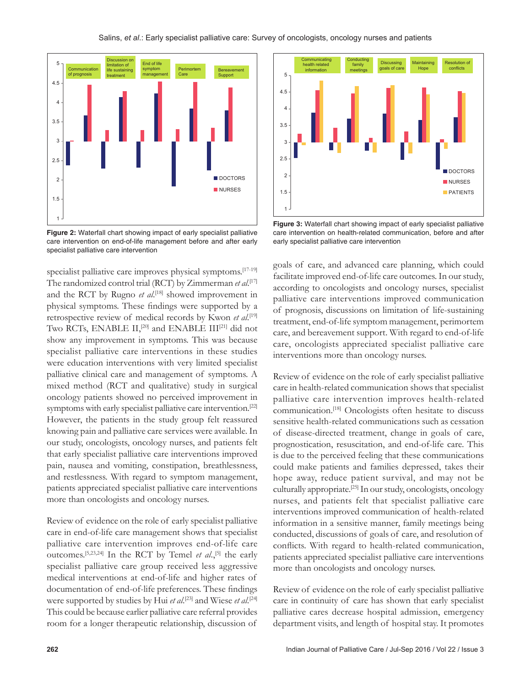

**Figure 2:** Waterfall chart showing impact of early specialist palliative care intervention on end-of-life management before and after early specialist palliative care intervention

specialist palliative care improves physical symptoms.<sup>[17-19]</sup> The randomized control trial (RCT) by Zimmerman *et al*. [17] and the RCT by Rugno *et al*. [18] showed improvement in physical symptoms. These findings were supported by a retrospective review of medical records by Kwon et al.<sup>[19]</sup> Two RCTs, ENABLE II,<sup>[20]</sup> and ENABLE III<sup>[21]</sup> did not show any improvement in symptoms. This was because specialist palliative care interventions in these studies were education interventions with very limited specialist palliative clinical care and management of symptoms. A mixed method (RCT and qualitative) study in surgical oncology patients showed no perceived improvement in symptoms with early specialist palliative care intervention.[22] However, the patients in the study group felt reassured knowing pain and palliative care services were available. In our study, oncologists, oncology nurses, and patients felt that early specialist palliative care interventions improved pain, nausea and vomiting, constipation, breathlessness, and restlessness. With regard to symptom management, patients appreciated specialist palliative care interventions more than oncologists and oncology nurses.

Review of evidence on the role of early specialist palliative care in end-of-life care management shows that specialist palliative care intervention improves end-of-life care outcomes.<sup>[5,23,24]</sup> In the RCT by Temel *et al.*,<sup>[5]</sup> the early specialist palliative care group received less aggressive medical interventions at end‑of‑life and higher rates of documentation of end-of-life preferences. These findings were supported by studies by Hui *et al*. [23] and Wiese *et al*. [24] This could be because earlier palliative care referral provides room for a longer therapeutic relationship, discussion of



**Figure 3:** Waterfall chart showing impact of early specialist palliative care intervention on health-related communication, before and after early specialist palliative care intervention

goals of care, and advanced care planning, which could facilitate improved end-of-life care outcomes. In our study, according to oncologists and oncology nurses, specialist palliative care interventions improved communication of prognosis, discussions on limitation of life‑sustaining treatment, end‑of‑life symptom management, perimortem care, and bereavement support. With regard to end-of-life care, oncologists appreciated specialist palliative care interventions more than oncology nurses.

Review of evidence on the role of early specialist palliative care in health‑related communication shows that specialist palliative care intervention improves health-related communication.[18] Oncologists often hesitate to discuss sensitive health-related communications such as cessation of disease‑directed treatment, change in goals of care, prognostication, resuscitation, and end‑of‑life care. This is due to the perceived feeling that these communications could make patients and families depressed, takes their hope away, reduce patient survival, and may not be culturally appropriate.[25] In our study, oncologists, oncology nurses, and patients felt that specialist palliative care interventions improved communication of health-related information in a sensitive manner, family meetings being conducted, discussions of goals of care, and resolution of conflicts. With regard to health-related communication, patients appreciated specialist palliative care interventions more than oncologists and oncology nurses.

Review of evidence on the role of early specialist palliative care in continuity of care has shown that early specialist palliative cares decrease hospital admission, emergency department visits, and length of hospital stay. It promotes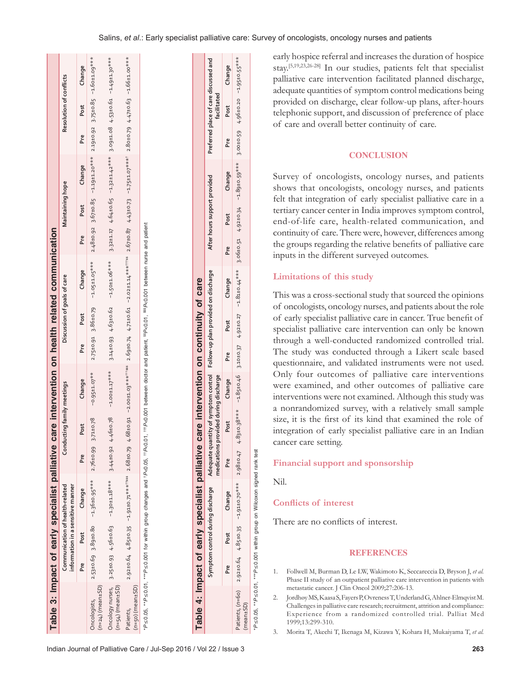|                                          |     |      | Table 3: Impact of early specialist palliative                       |                 |                            | care intervention on health related communication                                                                                                                  |     |                             |                                                      |     |                              |        |     |                                                                                                      |        |
|------------------------------------------|-----|------|----------------------------------------------------------------------|-----------------|----------------------------|--------------------------------------------------------------------------------------------------------------------------------------------------------------------|-----|-----------------------------|------------------------------------------------------|-----|------------------------------|--------|-----|------------------------------------------------------------------------------------------------------|--------|
|                                          |     |      | Communication of health-related<br>information in a sensitive manner |                 | Conducting family meetings |                                                                                                                                                                    |     | Discussion of goals of care |                                                      |     | <b>Maintaining hope</b>      |        |     | Resolution of conflicts                                                                              |        |
|                                          | Pre | Post | Change                                                               | Pre             | Post                       | Change                                                                                                                                                             | Pre | Post                        | Change                                               | Pre | Post                         | Change | Pre | Post                                                                                                 | Change |
| $(n=24)$ (mean $\pm$ SD)<br>Oncologists, |     |      | $2.53 \pm 0.69$ 3.89 $\pm 0.80$ -1.36 $\pm 0.95$ ***                 | $2.76 \pm 0.99$ | 3.71±0.78                  | $-0.95 \pm 1.07$ **                                                                                                                                                |     |                             | $2.75 \pm 0.91$ 3.86 $\pm 0.79$ -1.05 $\pm 1.05$ *** |     |                              |        |     | $2.48\pm0.92$ 3.67 $\pm0.85$ -1.19 $\pm1.20$ *** 2.19 $\pm0.92$ 3.75 $\pm0.85$ -1.60 $\pm1.09$ ***   |        |
| $(n=54)$ (mean $\pm$ SD)                 |     |      | Oncologynurses, 3.25±0.93 4.56±0.63 -1.30±1.18***                    | 3.44±0.92       |                            | $4.46 \pm 0.78$ -1.00 $\pm$ 1.17***                                                                                                                                |     |                             | $3.14\pm0.93$ $4.63\pm0.62$ -1.50 $\pm1.06$ ***      |     |                              |        |     | 3.32±1.17 4.64±0.65 -1.32±1.42*** 3.09±1.08 4.53±0.61 -1.49±1.30***                                  |        |
| $(n=50)$ (mean $\pm$ SD)<br>Patients,    |     |      | 2.92±0.64 4.85±0.35 -1.91±0.71******** 2.68±0.79                     |                 |                            |                                                                                                                                                                    |     |                             |                                                      |     |                              |        |     |                                                                                                      |        |
|                                          |     |      |                                                                      |                 |                            | PP≤0.05, **P≤0.01, ***P≤0.001 for within group changes and 1P<0.05, 1P<0.01, 11P<0.001 between doctor and patient, \$P<0.01, \$\$P<0.001 between nurse and patient |     |                             |                                                      |     |                              |        |     |                                                                                                      |        |
|                                          |     |      |                                                                      |                 |                            |                                                                                                                                                                    |     |                             |                                                      |     |                              |        |     |                                                                                                      |        |
|                                          |     |      |                                                                      |                 |                            |                                                                                                                                                                    |     |                             |                                                      |     |                              |        |     |                                                                                                      |        |
|                                          |     |      |                                                                      |                 |                            |                                                                                                                                                                    |     |                             |                                                      |     |                              |        |     |                                                                                                      |        |
|                                          |     |      | Table 4: Impact of early specialist palliative                       |                 |                            | care intervention on continuity of care                                                                                                                            |     |                             |                                                      |     |                              |        |     |                                                                                                      |        |
|                                          |     |      |                                                                      |                 |                            |                                                                                                                                                                    |     |                             |                                                      |     | After hours support provided |        |     | المحد المحد المحد المحدد المحدد المحدد المحدد المحدد المحدد المحدد المحدد المحدد المحدد المحدد المحد |        |

| referred place of care discussed and<br>facilitated                                         | Change<br>Pre Post | 3.00±0.59 4.96±0.20 -1.95±0.55***                                                                   |
|---------------------------------------------------------------------------------------------|--------------------|-----------------------------------------------------------------------------------------------------|
|                                                                                             |                    |                                                                                                     |
|                                                                                             | Change             |                                                                                                     |
| After hours support provide                                                                 | Post               |                                                                                                     |
|                                                                                             | Pre                |                                                                                                     |
|                                                                                             | Change             | " ***03.010- 40.01104 12.0110.2 ***10.011010.12 - 12.0110.44 12.010.2 04.010.31 - 18940.016.014 + 1 |
|                                                                                             | Pre Post           |                                                                                                     |
|                                                                                             |                    |                                                                                                     |
|                                                                                             | Change             |                                                                                                     |
| provided on discharge profile in the provided on discharge<br>ans provided during discharge | Post               |                                                                                                     |
| Adequate q<br>nedication                                                                    |                    |                                                                                                     |
| /mptom control during discharge                                                             | Change             | $-1.91\pm0.70****$ 2.98 $\pm$ 0.47                                                                  |
|                                                                                             | Post               |                                                                                                     |
|                                                                                             |                    | $12.92\pm0.644.85\pm0.35$                                                                           |
|                                                                                             |                    | atients, $(n=60)$<br>mean±SD)                                                                       |

\**P*≤0.05, \*\**P*≤0.01, \*\*\**P*≤0.001 within group on Wilcoxon signed rank test P ≤ 0.05, \*\* P ≤ 0.01, \*\*\* P ≤ 0.001 within group on Wilcoxon signed rank test early hospice referral and increases the duration of hospice stay.[5,19,23,26‑28] In our studies, patients felt that specialist palliative care intervention facilitated planned discharge, adequate quantities of symptom control medications being provided on discharge, clear follow-up plans, after-hours telephonic support, and discussion of preference of place of care and overall better continuity of care.

# **CONCLUSION**

Survey of oncologists, oncology nurses, and patients shows that oncologists, oncology nurses, and patients felt that integration of early specialist palliative care in a tertiary cancer center in India improves symptom control, end‑of‑life care, health‑related communication, and continuity of care. There were, however, differences among the groups regarding the relative benefits of palliative care inputs in the different surveyed outcomes.

# **Limitations of this study**

This was a cross-sectional study that sourced the opinions of oncologists, oncology nurses, and patients about the role of early specialist palliative care in cancer. True benefit of specialist palliative care intervention can only be known through a well‑conducted randomized controlled trial. The study was conducted through a Likert scale based questionnaire, and validated instruments were not used. Only four outcomes of palliative care interventions were examined, and other outcomes of palliative care interventions were not examined. Although this study was a nonrandomized survey, with a relatively small sample size, it is the first of its kind that examined the role of integration of early specialist palliative care in an Indian cancer care setting.

# **Financial support and sponsorship**

Nil.

# **Conflicts of interest**

There are no conflicts of interest.

### **REFERENCES**

- 1. Follwell M, Burman D, Le LW, Wakimoto K, Seccareccia D, Bryson J, *et al.* Phase II study of an outpatient palliative care intervention in patients with metastatic cancer. J Clin Oncol 2009;27:206‑13.
- 2. Jordhøy MS, Kaasa S, Fayers P, Ovreness T, Underland G, Ahlner‑Elmqvist M. Challenges in palliative care research; recruitment, attrition and compliance: Experience from a randomized controlled trial. Palliat Med 1999;13:299‑310.
- 3. Morita T, Akechi T, Ikenaga M, Kizawa Y, Kohara H, Mukaiyama T, *et al.*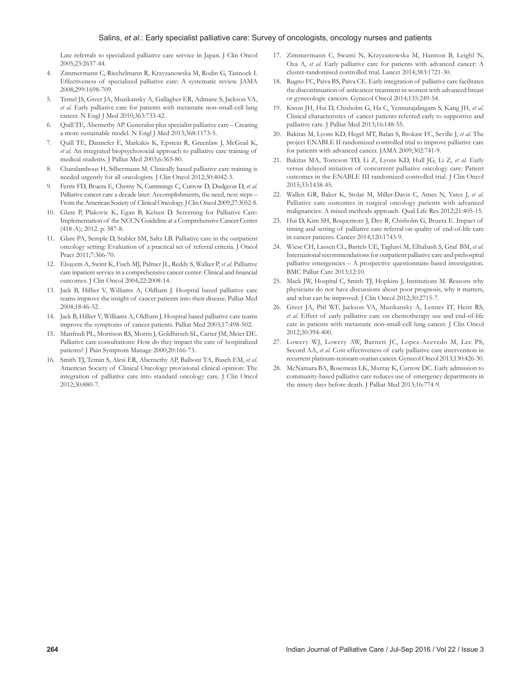Late referrals to specialized palliative care service in Japan. J Clin Oncol 2005;23:2637‑44.

- 4. Zimmermann C, Riechelmann R, Krzyzanowska M, Rodin G, Tannock I. Effectiveness of specialized palliative care: A systematic review. JAMA 2008;299:1698‑709.
- 5. Temel JS, Greer JA, Muzikansky A, Gallagher ER, Admane S, Jackson VA, et al. Early palliative care for patients with metastatic non-small-cell lung cancer. N Engl J Med 2010;363:733‑42.
- Quill TE, Abernethy AP. Generalist plus specialist palliative care Creating a more sustainable model. N Engl J Med 2013;368:1173‑5.
- 7. Quill TE, Dannefer E, Markakis K, Epstein R, Greenlaw J, McGrail K, *et al.* An integrated biopsychosocial approach to palliative care training of medical students. J Palliat Med 2003;6:365‑80.
- 8. Charalambous H, Silbermann M. Clinically based palliative care training is needed urgently for all oncologists. J Clin Oncol 2012;30:4042‑3.
- 9. Ferris FD, Bruera E, Cherny N, Cummings C, Currow D, Dudgeon D, *et al.* Palliative cancer care a decade later: Accomplishments, the need, next steps – From the American Society of Clinical Oncology. J Clin Oncol 2009;27:3052‑8.
- 10. Glare P, Plakovic K, Egan B, Kelsen D. Screening for Palliative Care: Implementation of the NCCN Guideline at a Comprehensive Cancer Center (418‑A); 2012. p. 387‑8.
- 11. Glare PA, Semple D, Stabler SM, Saltz LB. Palliative care in the outpatient oncology setting: Evaluation of a practical set of referral criteria. J Oncol Pract 2011;7:366‑70.
- 12. Elsayem A, Swint K, Fisch MJ, Palmer JL, Reddy S, Walker P, *et al*. Palliative care inpatient service in a comprehensive cancer center: Clinical and financial outcomes. J Clin Oncol 2004;22:2008‑14.
- 13. Jack B, Hillier V, Williams A, Oldham J. Hospital based palliative care teams improve the insight of cancer patients into their disease. Palliat Med 2004;18:46‑52.
- 14. Jack B, Hillier V, Williams A, Oldham J. Hospital based palliative care teams improve the symptoms of cancer patients. Palliat Med 2003;17:498-502.
- 15. Manfredi PL, Morrison RS, Morris J, Goldhirsch SL, Carter JM, Meier DE. Palliative care consultations: How do they impact the care of hospitalized patients? J Pain Symptom Manage 2000;20:166-73.
- 16. Smith TJ, Temin S, Alesi ER, Abernethy AP, Balboni TA, Basch EM, *et al.* American Society of Clinical Oncology provisional clinical opinion: The integration of palliative care into standard oncology care. J Clin Oncol 2012;30:880‑7.
- 17. Zimmermann C, Swami N, Krzyzanowska M, Hannon B, Leighl N, Oza A, *et al.* Early palliative care for patients with advanced cancer: A cluster‑randomised controlled trial. Lancet 2014;383:1721‑30.
- 18. Rugno FC, Paiva BS, Paiva CE. Early integration of palliative care facilitates the discontinuation of anticancer treatment in women with advanced breast or gynecologic cancers. Gynecol Oncol 2014;135:249‑54.
- 19. Kwon JH, Hui D, Chisholm G, Ha C, Yennurajalingam S, Kang JH, *et al.* Clinical characteristics of cancer patients referred early to supportive and palliative care. J Palliat Med 2013;16:148‑55.
- 20. Bakitas M, Lyons KD, Hegel MT, Balan S, Brokaw FC, Seville J, *et al*. The project ENABLE II randomized controlled trial to improve palliative care for patients with advanced cancer. JAMA 2009;302:741‑9.
- 21. Bakitas MA, Tosteson TD, Li Z, Lyons KD, Hull JG, Li Z, *et al.* Early versus delayed initiation of concurrent palliative oncology care: Patient outcomes in the ENABLE III randomized controlled trial. J Clin Oncol 2015;33:1438‑45.
- 22. Wallen GR, Baker K, Stolar M, Miller‑Davis C, Ames N, Yates J, *et al.* Palliative care outcomes in surgical oncology patients with advanced malignancies: A mixed methods approach. Qual Life Res 2012;21:405-15.
- 23. Hui D, Kim SH, Roquemore J, Dev R, Chisholm G, Bruera E. Impact of timing and setting of palliative care referral on quality of end-of-life care in cancer patients. Cancer 2014;120:1743‑9.
- 24. Wiese CH, Lassen CL, Bartels UE, Taghavi M, Elhabash S, Graf BM, *et al.* International recommendations for outpatient palliative care and prehospital palliative emergencies – A prospective questionnaire-based investigation. BMC Palliat Care 2013;12:10.
- 25. Mack JW, Hospital C, Smith TJ, Hopkins J, Institutions M. Reasons why physicians do not have discussions about poor prognosis, why it matters, and what can be improved. J Clin Oncol 2012;30:2715-7.
- 26. Greer JA, Pirl WF, Jackson VA, Muzikansky A, Lennes IT, Heist RS, et al. Effect of early palliative care on chemotherapy use and end-of-life care in patients with metastatic non-small-cell lung cancer. J Clin Oncol 2012;30:394‑400.
- 27. Lowery WJ, Lowery AW, Barnett JC, Lopez‑Acevedo M, Lee PS, Secord AA, *et al.* Cost-effectiveness of early palliative care intervention in recurrent platinum-resistant ovarian cancer. Gynecol Oncol 2013;130:426-30.
- 28. McNamara BA, Rosenwax LK, Murray K, Currow DC. Early admission to community‑based palliative care reduces use of emergency departments in the ninety days before death. J Palliat Med 2013;16:774‑9.